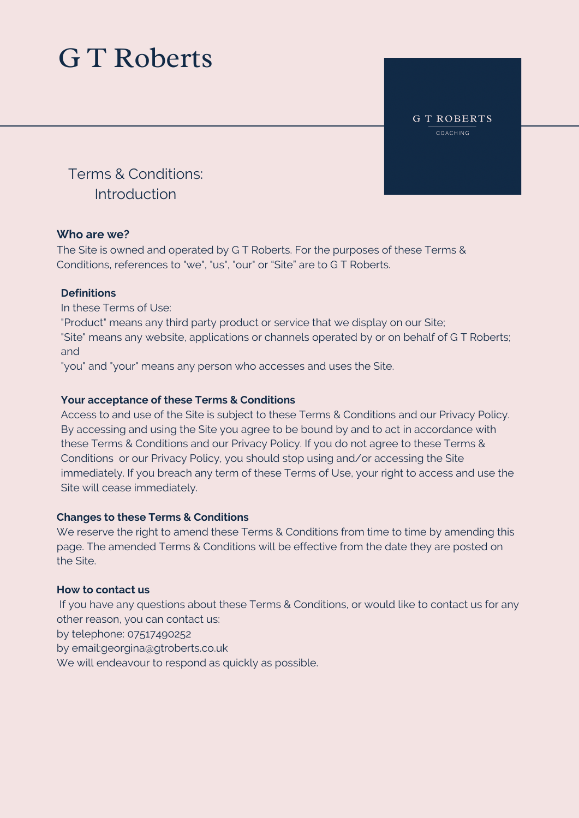**GT ROBERTS** COACHING

Terms & Conditions: Introduction

### **Who are we?**

The Site is owned and operated by G T Roberts. For the purposes of these Terms & Conditions, references to "we", "us", "our" or "Site" are to G T Roberts.

### **Definitions**

In these Terms of Use:

"Product" means any third party product or service that we display on our Site; "Site" means any website, applications or channels operated by or on behalf of G T Roberts; and

"you" and "your" means any person who accesses and uses the Site.

### **Your acceptance of these Terms & Conditions**

Access to and use of the Site is subject to these Terms & Conditions and our Privacy Policy. By accessing and using the Site you agree to be bound by and to act in accordance with these Terms & Conditions and our Privacy Policy. If you do not agree to these Terms & Conditions or our Privacy Policy, you should stop using and/or accessing the Site immediately. If you breach any term of these Terms of Use, your right to access and use the Site will cease immediately.

### **Changes to these Terms & Conditions**

We reserve the right to amend these Terms & Conditions from time to time by amending this page. The amended Terms & Conditions will be effective from the date they are posted on the Site.

### **How to contact us**

If you have any questions about these Terms & Conditions, or would like to contact us for any other reason, you can contact us:

by telephone: 07517490252

by email:georgina@gtroberts.co.uk

We will endeavour to respond as quickly as possible.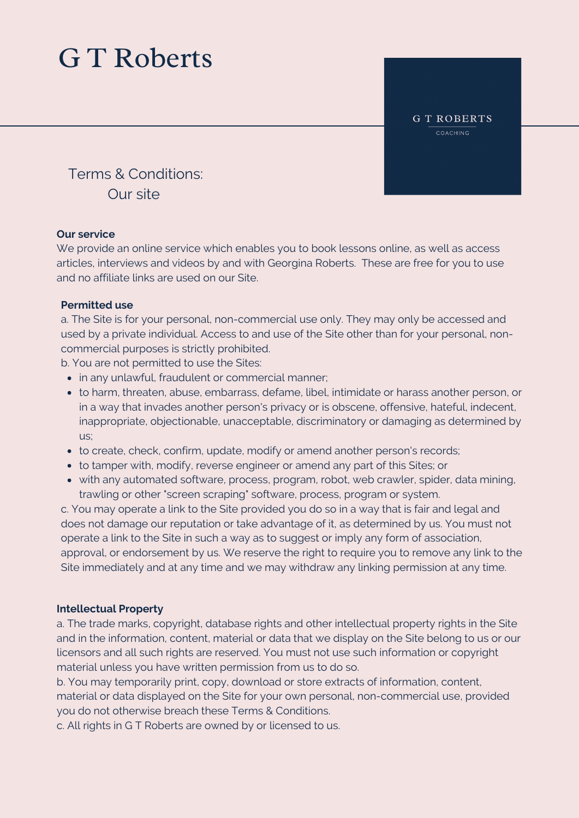**GT ROBERTS** COACHING

Terms & Conditions: Our site

### **Our service**

We provide an online service which enables you to book lessons online, as well as access articles, interviews and videos by and with Georgina Roberts. These are free for you to use and no affiliate links are used on our Site.

### **Permitted use**

a. The Site is for your personal, non-commercial use only. They may only be accessed and used by a private individual. Access to and use of the Site other than for your personal, noncommercial purposes is strictly prohibited.

b. You are not permitted to use the Sites:

- in any unlawful, fraudulent or commercial manner;
- to harm, threaten, abuse, embarrass, defame, libel, intimidate or harass another person, or in a way that invades another person's privacy or is obscene, offensive, hateful, indecent, inappropriate, objectionable, unacceptable, discriminatory or damaging as determined by us;
- to create, check, confirm, update, modify or amend another person's records;
- to tamper with, modify, reverse engineer or amend any part of this Sites; or
- with any automated software, process, program, robot, web crawler, spider, data mining, trawling or other "screen scraping" software, process, program or system.

c. You may operate a link to the Site provided you do so in a way that is fair and legal and does not damage our reputation or take advantage of it, as determined by us. You must not operate a link to the Site in such a way as to suggest or imply any form of association, approval, or endorsement by us. We reserve the right to require you to remove any link to the Site immediately and at any time and we may withdraw any linking permission at any time.

### **Intellectual Property**

a. The trade marks, copyright, database rights and other intellectual property rights in the Site and in the information, content, material or data that we display on the Site belong to us or our licensors and all such rights are reserved. You must not use such information or copyright material unless you have written permission from us to do so.

b. You may temporarily print, copy, download or store extracts of information, content, material or data displayed on the Site for your own personal, non-commercial use, provided you do not otherwise breach these Terms & Conditions.

c. All rights in G T Roberts are owned by or licensed to us.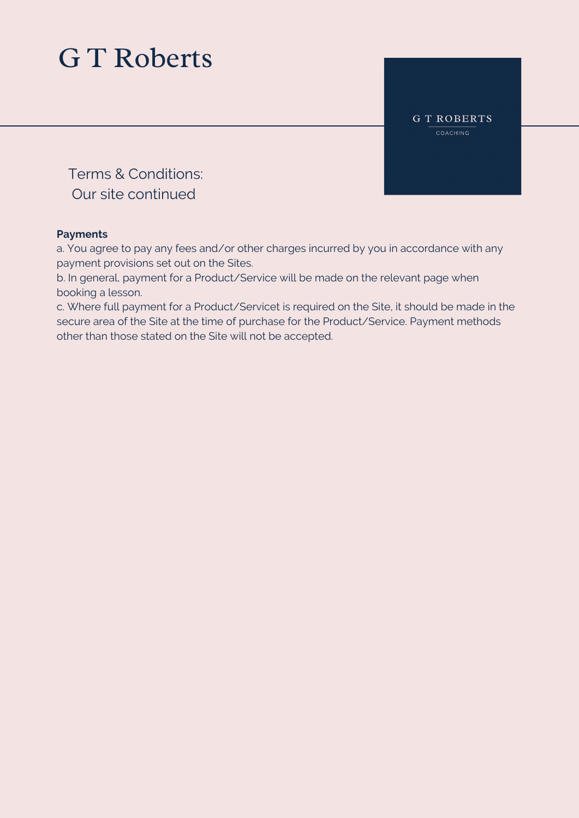**GT ROBERTS** COACHING

Terms & Conditions: Our site continued

### **Payments**

a. You agree to pay any fees and/or other charges incurred by you in accordance with any payment provisions set out on the Sites.

b. In general, payment for a Product/Service will be made on the relevant page when booking a lesson.

c. Where full payment for a Product/Servicet is required on the Site, it should be made in the secure area of the Site at the time of purchase for the Product/Service. Payment methods other than those stated on the Site will not be accepted.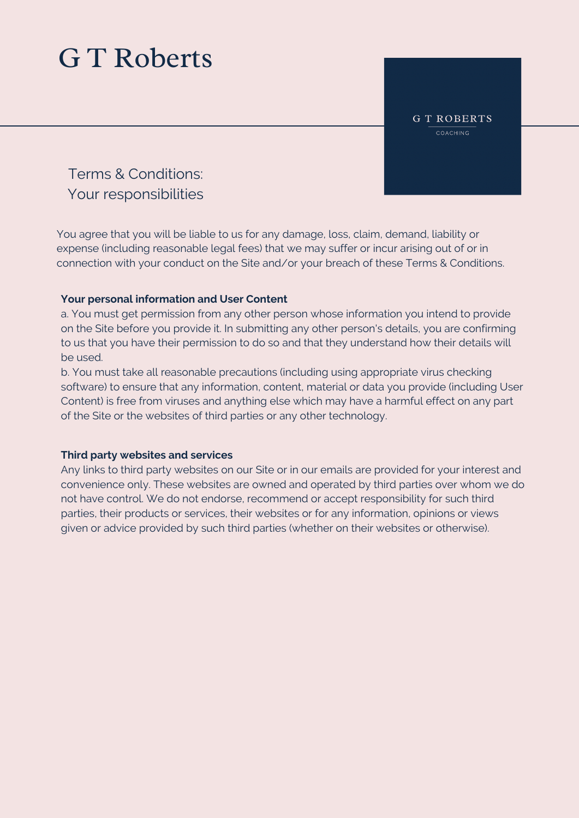**GT ROBERTS** COACHING

Terms & Conditions: Your responsibilities

You agree that you will be liable to us for any damage, loss, claim, demand, liability or expense (including reasonable legal fees) that we may suffer or incur arising out of or in connection with your conduct on the Site and/or your breach of these Terms & Conditions.

### **Your personal information and User Content**

a. You must get permission from any other person whose information you intend to provide on the Site before you provide it. In submitting any other person's details, you are confirming to us that you have their permission to do so and that they understand how their details will be used.

b. You must take all reasonable precautions (including using appropriate virus checking software) to ensure that any information, content, material or data you provide (including User Content) is free from viruses and anything else which may have a harmful effect on any part of the Site or the websites of third parties or any other technology.

### **Third party websites and services**

Any links to third party websites on our Site or in our emails are provided for your interest and convenience only. These websites are owned and operated by third parties over whom we do not have control. We do not endorse, recommend or accept responsibility for such third parties, their products or services, their websites or for any information, opinions or views given or advice provided by such third parties (whether on their websites or otherwise).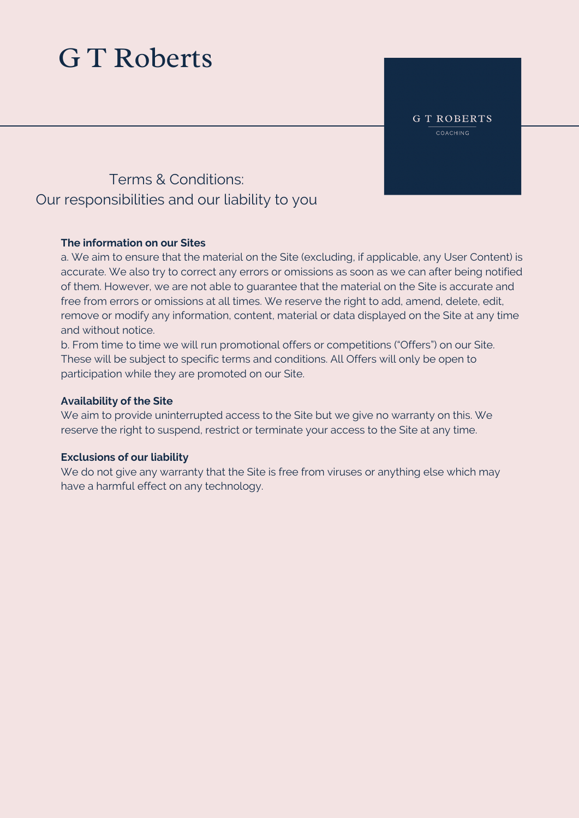**GT ROBERTS** COACHING

### Terms & Conditions: Our responsibilities and our liability to you

### **The information on our Sites**

a. We aim to ensure that the material on the Site (excluding, if applicable, any User Content) is accurate. We also try to correct any errors or omissions as soon as we can after being notified of them. However, we are not able to guarantee that the material on the Site is accurate and free from errors or omissions at all times. We reserve the right to add, amend, delete, edit, remove or modify any information, content, material or data displayed on the Site at any time and without notice.

b. From time to time we will run promotional offers or competitions ("Offers") on our Site. These will be subject to specific terms and conditions. All Offers will only be open to participation while they are promoted on our Site.

#### **Availability of the Site**

We aim to provide uninterrupted access to the Site but we give no warranty on this. We reserve the right to suspend, restrict or terminate your access to the Site at any time.

### **Exclusions of our liability**

We do not give any warranty that the Site is free from viruses or anything else which may have a harmful effect on any technology.